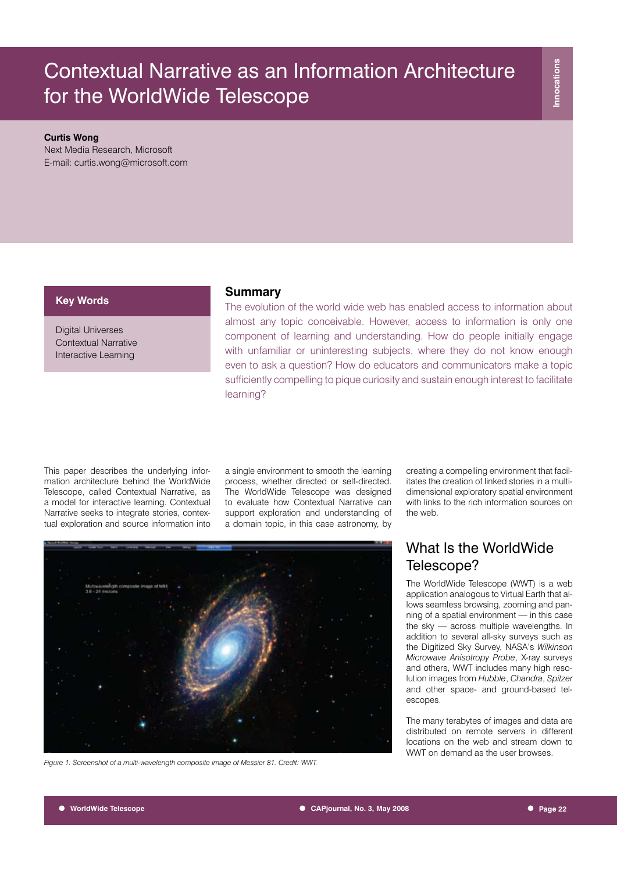#### **Curtis Wong**

Next Media Research, Microsoft E-mail: curtis.wong@microsoft.com

## **Key Words**

Digital Universes Contextual Narrative Interactive Learning

### **Summary**

The evolution of the world wide web has enabled access to information about almost any topic conceivable. However, access to information is only one component of learning and understanding. How do people initially engage with unfamiliar or uninteresting subjects, where they do not know enough even to ask a question? How do educators and communicators make a topic sufficiently compelling to pique curiosity and sustain enough interest to facilitate learning?

This paper describes the underlying information architecture behind the WorldWide Telescope, called Contextual Narrative, as a model for interactive learning. Contextual Narrative seeks to integrate stories, contextual exploration and source information into

a single environment to smooth the learning process, whether directed or self-directed. The WorldWide Telescope was designed to evaluate how Contextual Narrative can support exploration and understanding of a domain topic, in this case astronomy, by

*Figure 1. Screenshot of a multi-wavelength composite image of Messier 81. Credit: WWT.*

creating a compelling environment that facilitates the creation of linked stories in a multidimensional exploratory spatial environment with links to the rich information sources on the web.

# What Is the WorldWide Telescope?

The WorldWide Telescope (WWT) is a web application analogous to Virtual Earth that allows seamless browsing, zooming and panning of a spatial environment — in this case the sky — across multiple wavelengths. In addition to several all-sky surveys such as the Digitized Sky Survey, NASA's *Wilkinson Microwave Anisotropy Probe*, X-ray surveys and others, WWT includes many high resolution images from *Hubble*, *Chandra*, *Spitzer* and other space- and ground-based telescopes.

The many terabytes of images and data are distributed on remote servers in different locations on the web and stream down to WWT on demand as the user browses.

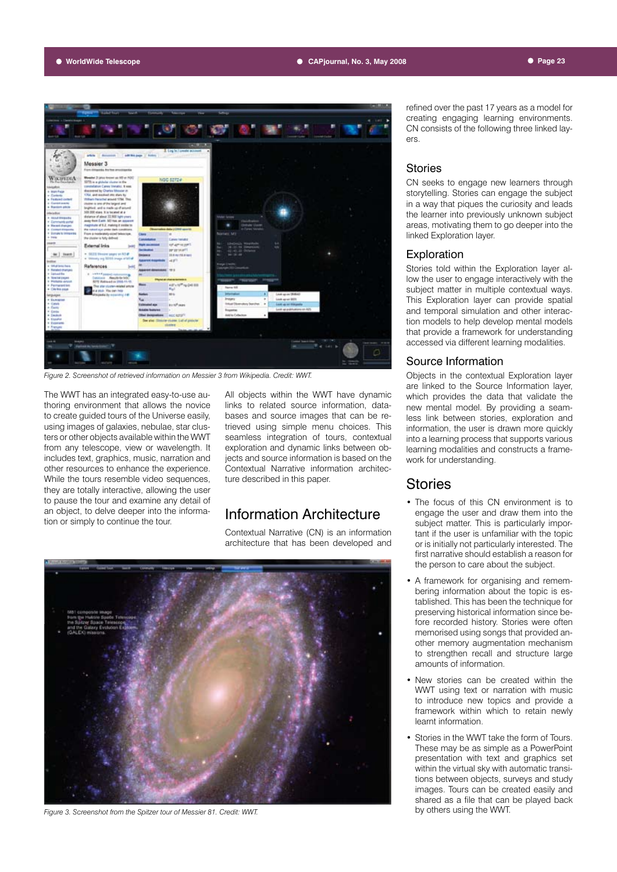

*Figure 2. Screenshot of retrieved information on Messier 3 from Wikipedia. Credit: WWT.*

The WWT has an integrated easy-to-use authoring environment that allows the novice to create guided tours of the Universe easily, using images of galaxies, nebulae, star clusters or other objects available within the WWT from any telescope, view or wavelength. It includes text, graphics, music, narration and other resources to enhance the experience. While the tours resemble video sequences, they are totally interactive, allowing the user to pause the tour and examine any detail of an object, to delve deeper into the information or simply to continue the tour.

All objects within the WWT have dynamic links to related source information, databases and source images that can be retrieved using simple menu choices. This seamless integration of tours, contextual exploration and dynamic links between objects and source information is based on the Contextual Narrative information architecture described in this paper.

# Information Architecture

Contextual Narrative (CN) is an information architecture that has been developed and



*Figure 3. Screenshot from the Spitzer tour of Messier 81. Credit: WWT.*

refined over the past 17 years as a model for creating engaging learning environments. CN consists of the following three linked layers.

#### Stories

CN seeks to engage new learners through storytelling. Stories can engage the subject in a way that piques the curiosity and leads the learner into previously unknown subject areas, motivating them to go deeper into the linked Exploration layer.

#### Exploration

Stories told within the Exploration layer allow the user to engage interactively with the subject matter in multiple contextual ways. This Exploration layer can provide spatial and temporal simulation and other interaction models to help develop mental models that provide a framework for understanding accessed via different learning modalities.

## Source Information

Objects in the contextual Exploration layer are linked to the Source Information layer, which provides the data that validate the new mental model. By providing a seamless link between stories, exploration and information, the user is drawn more quickly into a learning process that supports various learning modalities and constructs a framework for understanding.

## **Stories**

- The focus of this CN environment is to engage the user and draw them into the subject matter. This is particularly important if the user is unfamiliar with the topic or is initially not particularly interested. The first narrative should establish a reason for the person to care about the subject.
- A framework for organising and remembering information about the topic is established. This has been the technique for preserving historical information since before recorded history. Stories were often memorised using songs that provided another memory augmentation mechanism to strengthen recall and structure large amounts of information.
- New stories can be created within the WWT using text or narration with music to introduce new topics and provide a framework within which to retain newly learnt information.
- Stories in the WWT take the form of Tours. These may be as simple as a PowerPoint presentation with text and graphics set within the virtual sky with automatic transitions between objects, surveys and study images. Tours can be created easily and shared as a file that can be played back by others using the WWT.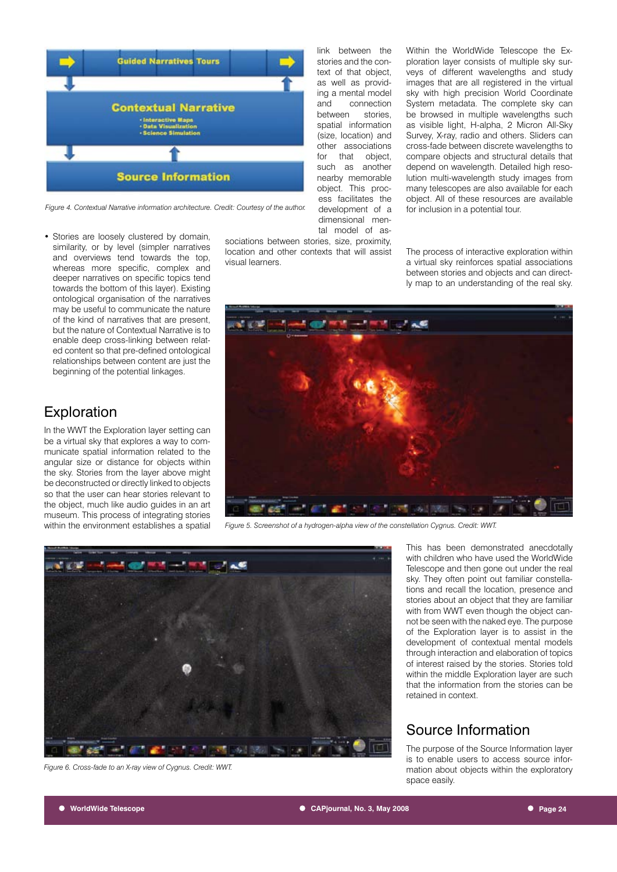

*Figure 4. Contextual Narrative information architecture. Credit: Courtesy of the author.*

• Stories are loosely clustered by domain, similarity, or by level (simpler narratives and overviews tend towards the top, whereas more specific, complex and deeper narratives on specific topics tend towards the bottom of this layer). Existing ontological organisation of the narratives may be useful to communicate the nature of the kind of narratives that are present, but the nature of Contextual Narrative is to enable deep cross-linking between related content so that pre-defined ontological relationships between content are just the beginning of the potential linkages.

# **Exploration**

In the WWT the Exploration layer setting can be a virtual sky that explores a way to communicate spatial information related to the angular size or distance for objects within the sky. Stories from the layer above might be deconstructed or directly linked to objects so that the user can hear stories relevant to the object, much like audio guides in an art museum. This process of integrating stories within the environment establishes a spatial

tal model of associations between stories, size, proximity, location and other contexts that will assist visual learners.

development of a dimensional menWithin the WorldWide Telescope the Exploration layer consists of multiple sky surveys of different wavelengths and study images that are all registered in the virtual sky with high precision World Coordinate System metadata. The complete sky can be browsed in multiple wavelengths such as visible light, H-alpha, 2 Micron All-Sky Survey, X-ray, radio and others. Sliders can cross-fade between discrete wavelengths to compare objects and structural details that depend on wavelength. Detailed high resolution multi-wavelength study images from many telescopes are also available for each object. All of these resources are available for inclusion in a potential tour.

The process of interactive exploration within a virtual sky reinforces spatial associations between stories and objects and can directly map to an understanding of the real sky.



*Figure 5. Screenshot of a hydrogen-alpha view of the constellation Cygnus. Credit: WWT.*



*Figure 6. Cross-fade to an X-ray view of Cygnus. Credit: WWT.*

This has been demonstrated anecdotally with children who have used the WorldWide Telescope and then gone out under the real sky. They often point out familiar constellations and recall the location, presence and stories about an object that they are familiar with from WWT even though the object cannot be seen with the naked eye. The purpose of the Exploration layer is to assist in the development of contextual mental models through interaction and elaboration of topics of interest raised by the stories. Stories told within the middle Exploration layer are such that the information from the stories can be retained in context.

# Source Information

The purpose of the Source Information layer is to enable users to access source information about objects within the exploratory space easily.